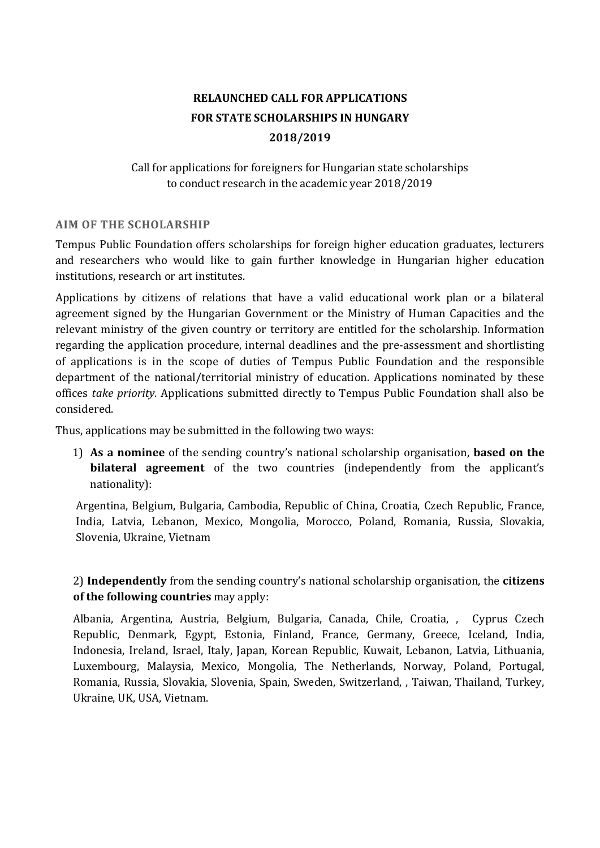# **RELAUNCHED CALL FOR APPLICATIONS FOR STATE SCHOLARSHIPS IN HUNGARY 2018/2019**

# Call for applications for foreigners for Hungarian state scholarships to conduct research in the academic year 2018/2019

### **AIM OF THE SCHOLARSHIP**

Tempus Public Foundation offers scholarships for foreign higher education graduates, lecturers and researchers who would like to gain further knowledge in Hungarian higher education institutions, research or art institutes.

Applications by citizens of relations that have a valid educational work plan or a bilateral agreement signed by the Hungarian Government or the Ministry of Human Capacities and the relevant ministry of the given country or territory are entitled for the scholarship. Information regarding the application procedure, internal deadlines and the pre-assessment and shortlisting of applications is in the scope of duties of Tempus Public Foundation and the responsible department of the national/territorial ministry of education. Applications nominated by these offices *take priority.* Applications submitted directly to Tempus Public Foundation shall also be considered.

Thus, applications may be submitted in the following two ways:

1) **As a nominee** of the sending country's national scholarship organisation, **based on the bilateral agreement** of the two countries (independently from the applicant's nationality):

Argentina, Belgium, Bulgaria, Cambodia, Republic of China, Croatia, Czech Republic, France, India, Latvia, Lebanon, Mexico, Mongolia, Morocco, Poland, Romania, Russia, Slovakia, Slovenia, Ukraine, Vietnam

2) **Independently** from the sending country's national scholarship organisation, the **citizens of the following countries** may apply:

Albania, Argentina, Austria, Belgium, Bulgaria, Canada, Chile, Croatia, , Cyprus Czech Republic, Denmark, Egypt, Estonia, Finland, France, Germany, Greece, Iceland, India, Indonesia, Ireland, Israel, Italy, Japan, Korean Republic, Kuwait, Lebanon, Latvia, Lithuania, Luxembourg, Malaysia, Mexico, Mongolia, The Netherlands, Norway, Poland, Portugal, Romania, Russia, Slovakia, Slovenia, Spain, Sweden, Switzerland, , Taiwan, Thailand, Turkey, Ukraine, UK, USA, Vietnam.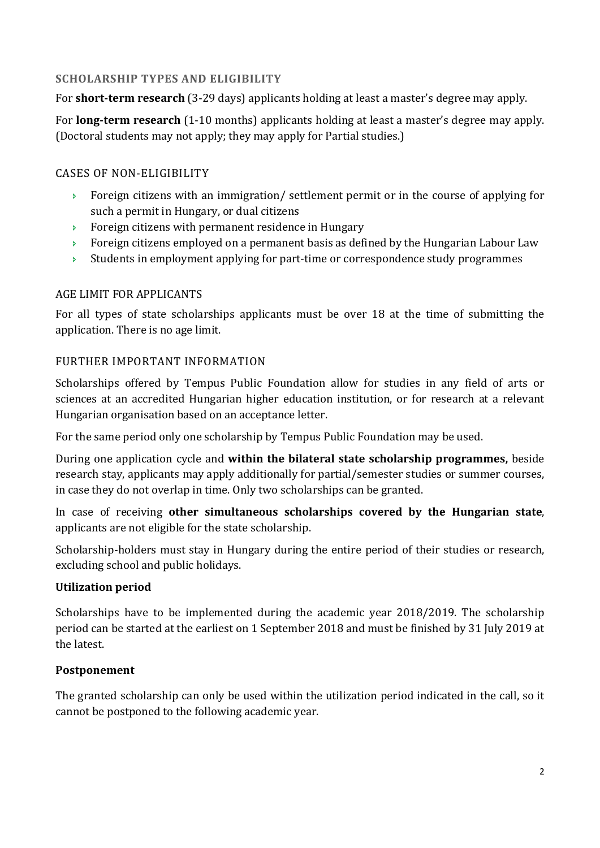# **SCHOLARSHIP TYPES AND ELIGIBILITY**

For **short-term research** (3-29 days) applicants holding at least a master's degree may apply.

For **long-term research** (1-10 months) applicants holding at least a master's degree may apply. (Doctoral students may not apply; they may apply for Partial studies.)

# CASES OF NON-ELIGIBILITY

- Foreign citizens with an immigration/ settlement permit or in the course of applying for such a permit in Hungary, or dual citizens
- Foreign citizens with permanent residence in Hungary
- **Foreign citizens employed on a permanent basis as defined by the Hungarian Labour Law**
- $\rightarrow$  Students in employment applying for part-time or correspondence study programmes

# AGE LIMIT FOR APPLICANTS

For all types of state scholarships applicants must be over 18 at the time of submitting the application. There is no age limit.

# FURTHER IMPORTANT INFORMATION

Scholarships offered by Tempus Public Foundation allow for studies in any field of arts or sciences at an accredited Hungarian higher education institution, or for research at a relevant Hungarian organisation based on an acceptance letter.

For the same period only one scholarship by Tempus Public Foundation may be used.

During one application cycle and **within the bilateral state scholarship programmes,** beside research stay, applicants may apply additionally for partial/semester studies or summer courses, in case they do not overlap in time. Only two scholarships can be granted.

In case of receiving **other simultaneous scholarships covered by the Hungarian state**, applicants are not eligible for the state scholarship.

Scholarship-holders must stay in Hungary during the entire period of their studies or research, excluding school and public holidays.

### **Utilization period**

Scholarships have to be implemented during the academic year 2018/2019. The scholarship period can be started at the earliest on 1 September 2018 and must be finished by 31 July 2019 at the latest.

# **Postponement**

The granted scholarship can only be used within the utilization period indicated in the call, so it cannot be postponed to the following academic year.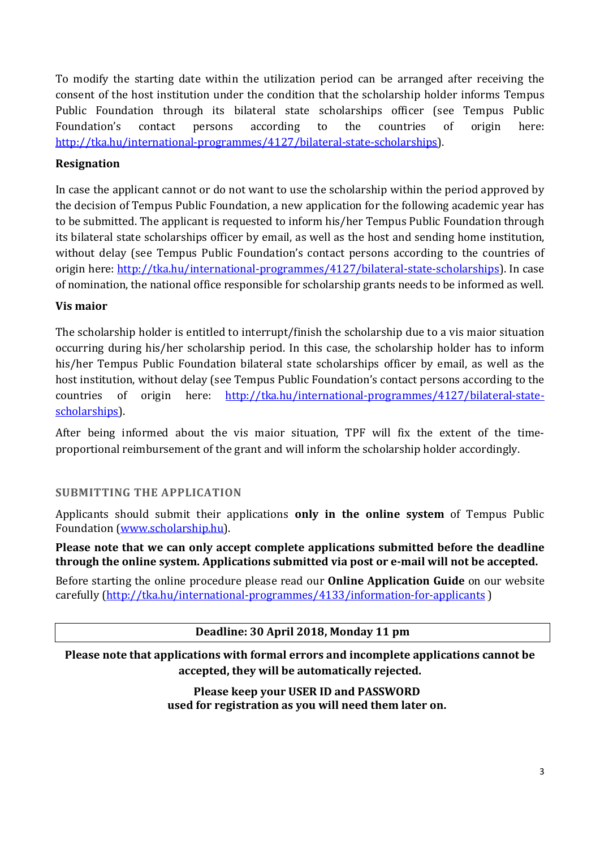To modify the starting date within the utilization period can be arranged after receiving the consent of the host institution under the condition that the scholarship holder informs Tempus Public Foundation through its bilateral state scholarships officer (see Tempus Public Foundation's contact persons according to the countries of origin here: http://tka.hu/international-programmes/4127/bilateral-state-scholarships).

### **Resignation**

In case the applicant cannot or do not want to use the scholarship within the period approved by the decision of Tempus Public Foundation, a new application for the following academic year has to be submitted. The applicant is requested to inform his/her Tempus Public Foundation through its bilateral state scholarships officer by email, as well as the host and sending home institution, without delay (see Tempus Public Foundation's contact persons according to the countries of origin here: http://tka.hu/international-programmes/4127/bilateral-state-scholarships). In case of nomination, the national office responsible for scholarship grants needs to be informed as well.

### **Vis maior**

The scholarship holder is entitled to interrupt/finish the scholarship due to a vis maior situation occurring during his/her scholarship period. In this case, the scholarship holder has to inform his/her Tempus Public Foundation bilateral state scholarships officer by email, as well as the host institution, without delay (see Tempus Public Foundation's contact persons according to the countries of origin here: http://tka.hu/international-programmes/4127/bilateral-statescholarships).

After being informed about the vis maior situation, TPF will fix the extent of the timeproportional reimbursement of the grant and will inform the scholarship holder accordingly.

### **SUBMITTING THE APPLICATION**

Applicants should submit their applications **only in the online system** of Tempus Public Foundation (www.scholarship.hu).

**Please note that we can only accept complete applications submitted before the deadline through the online system. Applications submitted via post or e-mail will not be accepted.** 

Before starting the online procedure please read our **Online Application Guide** on our website carefully (http://tka.hu/international-programmes/4133/information-for-applicants)

### **Deadline: 30 April 2018, Monday 11 pm**

**Please note that applications with formal errors and incomplete applications cannot be accepted, they will be automatically rejected.** 

> **Please keep your USER ID and PASSWORD used for registration as you will need them later on.**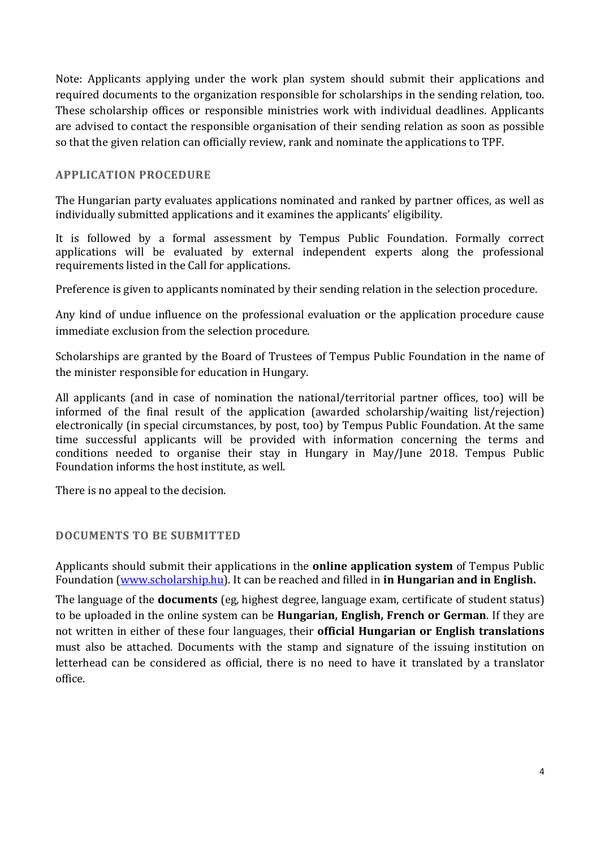Note: Applicants applying under the work plan system should submit their applications and required documents to the organization responsible for scholarships in the sending relation, too. These scholarship offices or responsible ministries work with individual deadlines. Applicants are advised to contact the responsible organisation of their sending relation as soon as possible so that the given relation can officially review, rank and nominate the applications to TPF.

#### **APPLICATION PROCEDURE**

The Hungarian party evaluates applications nominated and ranked by partner offices, as well as individually submitted applications and it examines the applicants' eligibility.

It is followed by a formal assessment by Tempus Public Foundation. Formally correct applications will be evaluated by external independent experts along the professional requirements listed in the Call for applications.

Preference is given to applicants nominated by their sending relation in the selection procedure.

Any kind of undue influence on the professional evaluation or the application procedure cause immediate exclusion from the selection procedure.

Scholarships are granted by the Board of Trustees of Tempus Public Foundation in the name of the minister responsible for education in Hungary.

All applicants (and in case of nomination the national/territorial partner offices, too) will be informed of the final result of the application (awarded scholarship/waiting list/rejection) electronically (in special circumstances, by post, too) by Tempus Public Foundation. At the same time successful applicants will be provided with information concerning the terms and conditions needed to organise their stay in Hungary in May/June 2018. Tempus Public Foundation informs the host institute, as well.

There is no appeal to the decision.

### **DOCUMENTS TO BE SUBMITTED**

Applicants should submit their applications in the **online application system** of Tempus Public Foundation (www.scholarship.hu). It can be reached and filled in **in Hungarian and in English.** 

The language of the **documents** (eg, highest degree, language exam, certificate of student status) to be uploaded in the online system can be **Hungarian, English, French or German**. If they are not written in either of these four languages, their **official Hungarian or English translations** must also be attached. Documents with the stamp and signature of the issuing institution on letterhead can be considered as official, there is no need to have it translated by a translator office.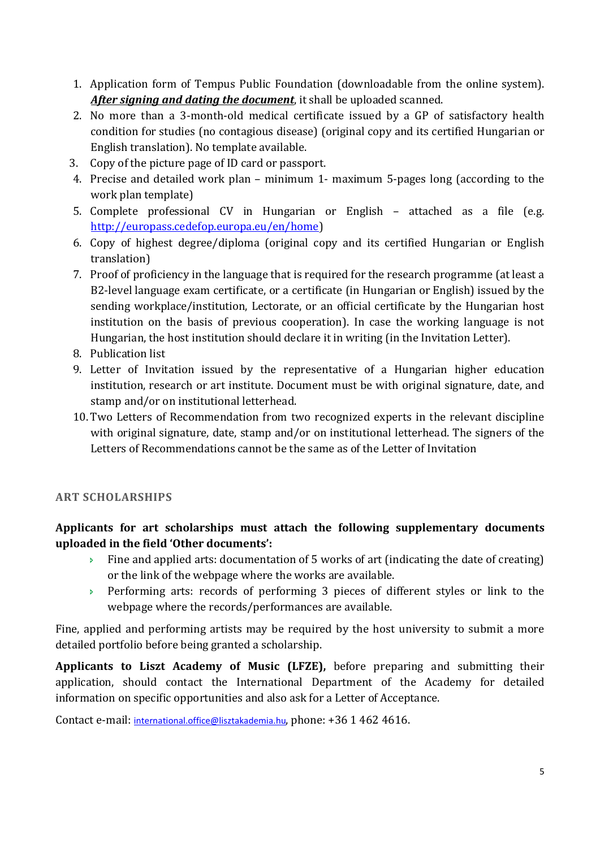- 1. Application form of Tempus Public Foundation (downloadable from the online system). *After signing and dating the document*, it shall be uploaded scanned.
- 2. No more than a 3-month-old medical certificate issued by a GP of satisfactory health condition for studies (no contagious disease) (original copy and its certified Hungarian or English translation). No template available.
- 3. Copy of the picture page of ID card or passport.
- 4. Precise and detailed work plan minimum 1- maximum 5-pages long (according to the work plan template)
- 5. Complete professional CV in Hungarian or English attached as a file (e.g. http://europass.cedefop.europa.eu/en/home)
- 6. Copy of highest degree/diploma (original copy and its certified Hungarian or English translation)
- 7. Proof of proficiency in the language that is required for the research programme (at least a B2-level language exam certificate, or a certificate (in Hungarian or English) issued by the sending workplace/institution, Lectorate, or an official certificate by the Hungarian host institution on the basis of previous cooperation). In case the working language is not Hungarian, the host institution should declare it in writing (in the Invitation Letter).
- 8. Publication list
- 9. Letter of Invitation issued by the representative of a Hungarian higher education institution, research or art institute. Document must be with original signature, date, and stamp and/or on institutional letterhead.
- 10.Two Letters of Recommendation from two recognized experts in the relevant discipline with original signature, date, stamp and/or on institutional letterhead. The signers of the Letters of Recommendations cannot be the same as of the Letter of Invitation

# **ART SCHOLARSHIPS**

# **Applicants for art scholarships must attach the following supplementary documents uploaded in the field 'Other documents':**

- $\rightarrow$  Fine and applied arts: documentation of 5 works of art (indicating the date of creating) or the link of the webpage where the works are available.
- Performing arts: records of performing 3 pieces of different styles or link to the webpage where the records/performances are available.

Fine, applied and performing artists may be required by the host university to submit a more detailed portfolio before being granted a scholarship.

**Applicants to Liszt Academy of Music (LFZE),** before preparing and submitting their application, should contact the International Department of the Academy for detailed information on specific opportunities and also ask for a Letter of Acceptance.

Contact e-mail: international.office@lisztakademia.hu, phone: +36 1 462 4616.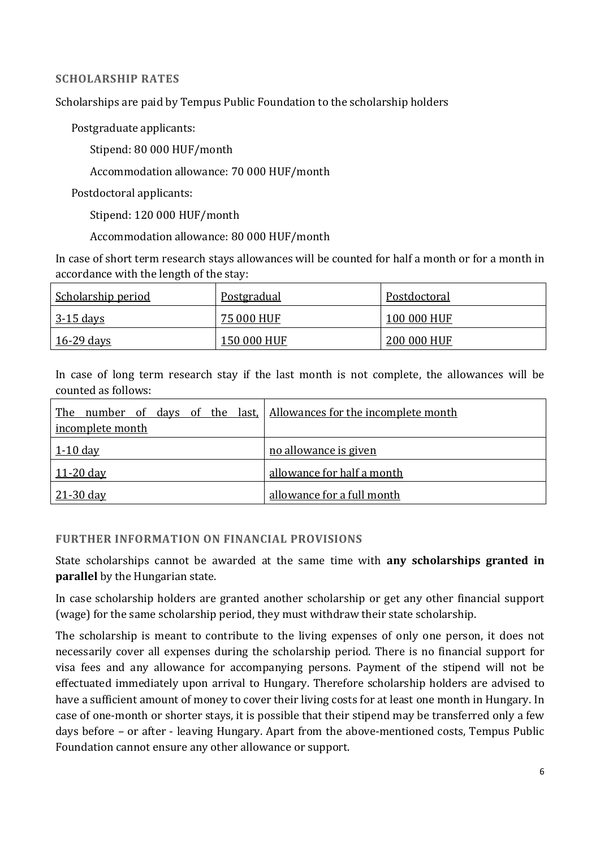#### **SCHOLARSHIP RATES**

Scholarships are paid by Tempus Public Foundation to the scholarship holders

Postgraduate applicants:

Stipend: 80 000 HUF/month

Accommodation allowance: 70 000 HUF/month

Postdoctoral applicants:

Stipend: 120 000 HUF/month

Accommodation allowance: 80 000 HUF/month

In case of short term research stays allowances will be counted for half a month or for a month in accordance with the length of the stay:

| <u>Scholarship period</u> | <u>Postgradual</u> | Postdoctoral |
|---------------------------|--------------------|--------------|
| <u>3-15 days</u>          | 75 000 HUF         | 100 000 HUF  |
| <u>16-29 days</u>         | 150 000 HUF        | 200 000 HUF  |

In case of long term research stay if the last month is not complete, the allowances will be counted as follows:

| The number of days of the last, Allowances for the incomplete month |                            |
|---------------------------------------------------------------------|----------------------------|
| incomplete month                                                    |                            |
| <u>1-10 day</u>                                                     | no allowance is given      |
| <u>11-20 day</u>                                                    | allowance for half a month |
| $21 - 30$ day                                                       | allowance for a full month |

### **FURTHER INFORMATION ON FINANCIAL PROVISIONS**

State scholarships cannot be awarded at the same time with **any scholarships granted in parallel** by the Hungarian state.

In case scholarship holders are granted another scholarship or get any other financial support (wage) for the same scholarship period, they must withdraw their state scholarship.

The scholarship is meant to contribute to the living expenses of only one person, it does not necessarily cover all expenses during the scholarship period. There is no financial support for visa fees and any allowance for accompanying persons. Payment of the stipend will not be effectuated immediately upon arrival to Hungary. Therefore scholarship holders are advised to have a sufficient amount of money to cover their living costs for at least one month in Hungary. In case of one-month or shorter stays, it is possible that their stipend may be transferred only a few days before – or after - leaving Hungary. Apart from the above-mentioned costs, Tempus Public Foundation cannot ensure any other allowance or support.